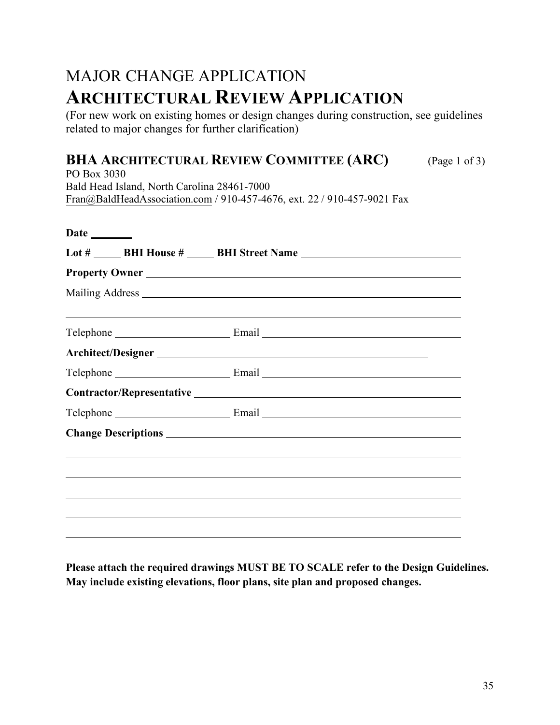## MAJOR CHANGE APPLICATION **ARCHITECTURAL REVIEW APPLICATION**

(For new work on existing homes or design changes during construction, see guidelines related to major changes for further clarification)

## **BHA ARCHITECTURAL REVIEW COMMITTEE (ARC)** (Page 1 of 3)

PO Box 3030 Bald Head Island, North Carolina 28461-7000 Fra[n@BaldHeadAssociation.com](mailto:Karen@BaldHeadAssociation.com) / 910-457-4676, ext. 22 / 910-457-9021 Fax

|  |  | Lot # _______ BHI House # ______ BHI Street Name _______________________________ |  |  |  |
|--|--|----------------------------------------------------------------------------------|--|--|--|
|  |  |                                                                                  |  |  |  |
|  |  |                                                                                  |  |  |  |
|  |  | ,我们也不会有什么?""我们的人,我们也不会有什么?""我们的人,我们也不会有什么?""我们的人,我们也不会有什么?""我们的人,我们也不会有什么?""我们的人 |  |  |  |
|  |  |                                                                                  |  |  |  |
|  |  |                                                                                  |  |  |  |
|  |  |                                                                                  |  |  |  |
|  |  |                                                                                  |  |  |  |
|  |  |                                                                                  |  |  |  |
|  |  |                                                                                  |  |  |  |
|  |  |                                                                                  |  |  |  |
|  |  |                                                                                  |  |  |  |
|  |  |                                                                                  |  |  |  |
|  |  |                                                                                  |  |  |  |

**Please attach the required drawings MUST BE TO SCALE refer to the Design Guidelines. May include existing elevations, floor plans, site plan and proposed changes.**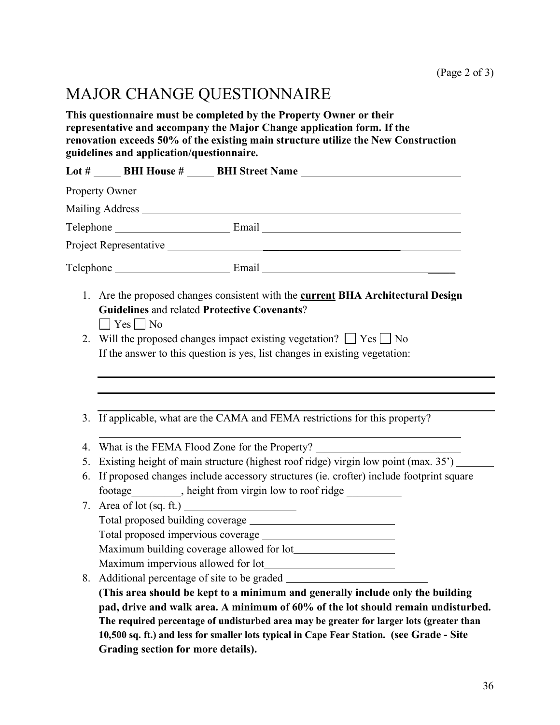## MAJOR CHANGE QUESTIONNAIRE

**This questionnaire must be completed by the Property Owner or their representative and accompany the Major Change application form. If the renovation exceeds 50% of the existing main structure utilize the New Construction guidelines and application/questionnaire.**

|                                                                                                                                                                | Lot # _______ BHI House # ______ BHI Street Name _______________________________                                                                                                                                                                     |  |  |
|----------------------------------------------------------------------------------------------------------------------------------------------------------------|------------------------------------------------------------------------------------------------------------------------------------------------------------------------------------------------------------------------------------------------------|--|--|
|                                                                                                                                                                | Property Owner                                                                                                                                                                                                                                       |  |  |
|                                                                                                                                                                |                                                                                                                                                                                                                                                      |  |  |
|                                                                                                                                                                |                                                                                                                                                                                                                                                      |  |  |
|                                                                                                                                                                |                                                                                                                                                                                                                                                      |  |  |
|                                                                                                                                                                | $\text{Telephone}$ Email $\text{Final}$                                                                                                                                                                                                              |  |  |
| $\Box$ Yes $\Box$ No                                                                                                                                           | 1. Are the proposed changes consistent with the <b>current BHA Architectural Design</b><br>Will the proposed changes impact existing vegetation? $\Box$ Yes $\Box$ No<br>If the answer to this question is yes, list changes in existing vegetation: |  |  |
|                                                                                                                                                                | 3. If applicable, what are the CAMA and FEMA restrictions for this property?                                                                                                                                                                         |  |  |
|                                                                                                                                                                | What is the FEMA Flood Zone for the Property?                                                                                                                                                                                                        |  |  |
| Existing height of main structure (highest roof ridge) virgin low point (max. 35') ______<br>5.                                                                |                                                                                                                                                                                                                                                      |  |  |
| If proposed changes include accessory structures (ie. crofter) include footprint square<br>footage__________, height from virgin low to roof ridge ___________ |                                                                                                                                                                                                                                                      |  |  |
|                                                                                                                                                                |                                                                                                                                                                                                                                                      |  |  |
|                                                                                                                                                                |                                                                                                                                                                                                                                                      |  |  |
|                                                                                                                                                                |                                                                                                                                                                                                                                                      |  |  |
|                                                                                                                                                                | (This area should be kept to a minimum and generally include only the building<br>pad, drive and walk area. A minimum of 60% of the lot should remain undisturbed.                                                                                   |  |  |
|                                                                                                                                                                | The required percentage of undisturbed area may be greater for larger lots (greater than                                                                                                                                                             |  |  |
|                                                                                                                                                                | 10,500 sq. ft.) and less for smaller lots typical in Cape Fear Station. (see Grade - Site                                                                                                                                                            |  |  |
| Grading section for more details).                                                                                                                             |                                                                                                                                                                                                                                                      |  |  |
|                                                                                                                                                                | <b>Guidelines and related Protective Covenants?</b><br>7. Area of lot $(sq. ft.)$<br>8. Additional percentage of site to be graded                                                                                                                   |  |  |

÷.